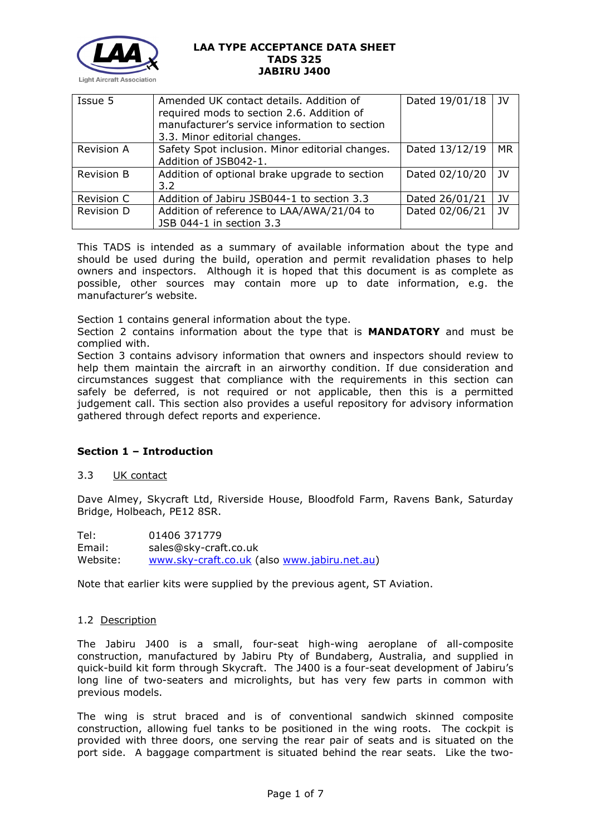

| Issue 5           | Amended UK contact details. Addition of<br>required mods to section 2.6. Addition of<br>manufacturer's service information to section<br>3.3. Minor editorial changes. | Dated 19/01/18 | JV        |
|-------------------|------------------------------------------------------------------------------------------------------------------------------------------------------------------------|----------------|-----------|
| <b>Revision A</b> | Safety Spot inclusion. Minor editorial changes.<br>Addition of JSB042-1.                                                                                               | Dated 13/12/19 | <b>MR</b> |
| Revision B        | Addition of optional brake upgrade to section<br>3.2                                                                                                                   | Dated 02/10/20 | JV        |
| <b>Revision C</b> | Addition of Jabiru JSB044-1 to section 3.3                                                                                                                             | Dated 26/01/21 | JV        |
| Revision D        | Addition of reference to LAA/AWA/21/04 to<br>JSB 044-1 in section 3.3                                                                                                  | Dated 02/06/21 | 1V        |

This TADS is intended as a summary of available information about the type and should be used during the build, operation and permit revalidation phases to help owners and inspectors. Although it is hoped that this document is as complete as possible, other sources may contain more up to date information, e.g. the manufacturer's website.

Section 1 contains general information about the type.

Section 2 contains information about the type that is **MANDATORY** and must be complied with.

Section 3 contains advisory information that owners and inspectors should review to help them maintain the aircraft in an airworthy condition. If due consideration and circumstances suggest that compliance with the requirements in this section can safely be deferred, is not required or not applicable, then this is a permitted judgement call. This section also provides a useful repository for advisory information gathered through defect reports and experience.

# **Section 1 – Introduction**

# 3.3 UK contact

Dave Almey, Skycraft Ltd, Riverside House, Bloodfold Farm, Ravens Bank, Saturday Bridge, Holbeach, PE12 8SR.

Tel: 01406 371779 Email: sales@sky-craft.co.uk Website: [www.sky-craft.co.uk](http://www.sky-craft.co.uk/) (also [www.jabiru.net.au\)](http://www.jabiru.net.au/)

Note that earlier kits were supplied by the previous agent, ST Aviation.

## 1.2 Description

The Jabiru J400 is a small, four-seat high-wing aeroplane of all-composite construction, manufactured by Jabiru Pty of Bundaberg, Australia, and supplied in quick-build kit form through Skycraft. The J400 is a four-seat development of Jabiru's long line of two-seaters and microlights, but has very few parts in common with previous models.

The wing is strut braced and is of conventional sandwich skinned composite construction, allowing fuel tanks to be positioned in the wing roots. The cockpit is provided with three doors, one serving the rear pair of seats and is situated on the port side. A baggage compartment is situated behind the rear seats. Like the two-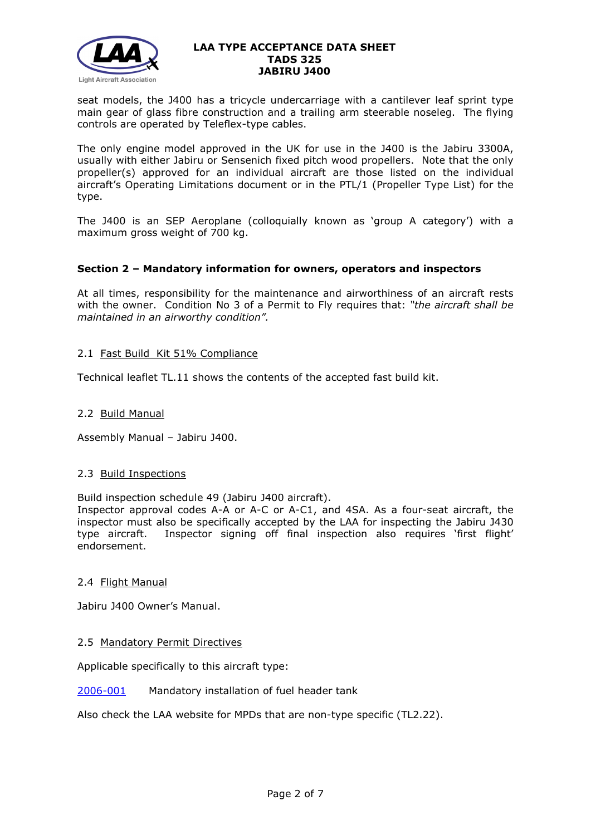

seat models, the J400 has a tricycle undercarriage with a cantilever leaf sprint type main gear of glass fibre construction and a trailing arm steerable noseleg. The flying controls are operated by Teleflex-type cables.

The only engine model approved in the UK for use in the J400 is the Jabiru 3300A, usually with either Jabiru or Sensenich fixed pitch wood propellers. Note that the only propeller(s) approved for an individual aircraft are those listed on the individual aircraft's Operating Limitations document or in the PTL/1 (Propeller Type List) for the type.

The J400 is an SEP Aeroplane (colloquially known as 'group A category') with a maximum gross weight of 700 kg.

## **Section 2 – Mandatory information for owners, operators and inspectors**

At all times, responsibility for the maintenance and airworthiness of an aircraft rests with the owner. Condition No 3 of a Permit to Fly requires that: *"the aircraft shall be maintained in an airworthy condition".* 

## 2.1 Fast Build Kit 51% Compliance

Technical leaflet TL.11 shows the contents of the accepted fast build kit.

## 2.2 Build Manual

Assembly Manual – Jabiru J400.

## 2.3 Build Inspections

Build inspection schedule 49 (Jabiru J400 aircraft).

Inspector approval codes A-A or A-C or A-C1, and 4SA. As a four-seat aircraft, the inspector must also be specifically accepted by the LAA for inspecting the Jabiru J430 type aircraft. Inspector signing off final inspection also requires 'first flight' endorsement.

## 2.4 Flight Manual

Jabiru J400 Owner's Manual.

## 2.5 Mandatory Permit Directives

Applicable specifically to this aircraft type:

## [2006-001](http://www.lightaircraftassociation.co.uk/engineering/TADs/325/MPD2006-001.pdf) Mandatory installation of fuel header tank

Also check the LAA website for MPDs that are non-type specific (TL2.22).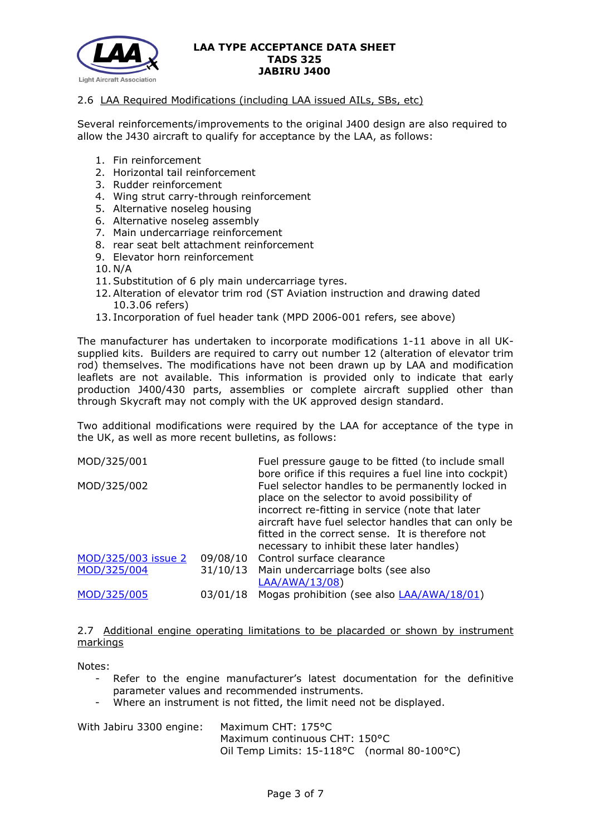

## 2.6 LAA Required Modifications (including LAA issued AILs, SBs, etc)

Several reinforcements/improvements to the original J400 design are also required to allow the J430 aircraft to qualify for acceptance by the LAA, as follows:

- 1. Fin reinforcement
- 2. Horizontal tail reinforcement
- 3. Rudder reinforcement
- 4. Wing strut carry-through reinforcement
- 5. Alternative noseleg housing
- 6. Alternative noseleg assembly
- 7. Main undercarriage reinforcement
- 8. rear seat belt attachment reinforcement
- 9. Elevator horn reinforcement
- 10. N/A
- 11.Substitution of 6 ply main undercarriage tyres.
- 12.Alteration of elevator trim rod (ST Aviation instruction and drawing dated 10.3.06 refers)
- 13. Incorporation of fuel header tank (MPD 2006-001 refers, see above)

The manufacturer has undertaken to incorporate modifications 1-11 above in all UKsupplied kits. Builders are required to carry out number 12 (alteration of elevator trim rod) themselves. The modifications have not been drawn up by LAA and modification leaflets are not available. This information is provided only to indicate that early production J400/430 parts, assemblies or complete aircraft supplied other than through Skycraft may not comply with the UK approved design standard.

Two additional modifications were required by the LAA for acceptance of the type in the UK, as well as more recent bulletins, as follows:

| MOD/325/001         |          | Fuel pressure gauge to be fitted (to include small      |
|---------------------|----------|---------------------------------------------------------|
|                     |          | bore orifice if this requires a fuel line into cockpit) |
| MOD/325/002         |          | Fuel selector handles to be permanently locked in       |
|                     |          | place on the selector to avoid possibility of           |
|                     |          | incorrect re-fitting in service (note that later        |
|                     |          | aircraft have fuel selector handles that can only be    |
|                     |          | fitted in the correct sense. It is therefore not        |
|                     |          | necessary to inhibit these later handles)               |
| MOD/325/003 issue 2 |          | 09/08/10 Control surface clearance                      |
| MOD/325/004         | 31/10/13 | Main undercarriage bolts (see also                      |
|                     |          | LAA/AWA/13/08)                                          |
|                     |          |                                                         |
| MOD/325/005         | 03/01/18 | Mogas prohibition (see also LAA/AWA/18/01)              |

## 2.7 Additional engine operating limitations to be placarded or shown by instrument markings

Notes:

- Refer to the engine manufacturer's latest documentation for the definitive parameter values and recommended instruments.
- Where an instrument is not fitted, the limit need not be displayed.

| With Jabiru 3300 engine: | Maximum CHT: 175°C                             |
|--------------------------|------------------------------------------------|
|                          | Maximum continuous CHT: 150°C                  |
|                          | Oil Temp Limits: $15-118$ °C (normal 80-100°C) |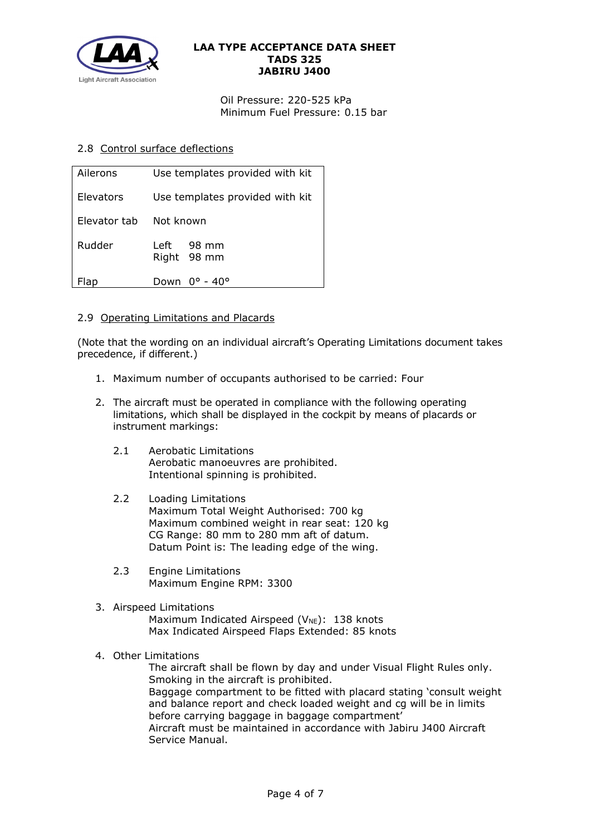

Oil Pressure: 220-525 kPa Minimum Fuel Pressure: 0.15 bar

## 2.8 Control surface deflections

| Ailerons     | Use templates provided with kit |  |
|--------------|---------------------------------|--|
| Elevators    | Use templates provided with kit |  |
| Elevator tab | Not known                       |  |
| Rudder       | 98 mm<br>Left<br>Right 98 mm    |  |
| Flap         | Down<br>$0^\circ$ - $40^\circ$  |  |

## 2.9 Operating Limitations and Placards

(Note that the wording on an individual aircraft's Operating Limitations document takes precedence, if different.)

- 1. Maximum number of occupants authorised to be carried: Four
- 2. The aircraft must be operated in compliance with the following operating limitations, which shall be displayed in the cockpit by means of placards or instrument markings:
	- 2.1 Aerobatic Limitations Aerobatic manoeuvres are prohibited. Intentional spinning is prohibited.
	- 2.2 Loading Limitations Maximum Total Weight Authorised: 700 kg Maximum combined weight in rear seat: 120 kg CG Range: 80 mm to 280 mm aft of datum. Datum Point is: The leading edge of the wing.
	- 2.3 Engine Limitations Maximum Engine RPM: 3300

## 3. Airspeed Limitations

Maximum Indicated Airspeed ( $V_{NE}$ ): 138 knots Max Indicated Airspeed Flaps Extended: 85 knots

4. Other Limitations

The aircraft shall be flown by day and under Visual Flight Rules only. Smoking in the aircraft is prohibited. Baggage compartment to be fitted with placard stating 'consult weight and balance report and check loaded weight and cg will be in limits before carrying baggage in baggage compartment' Aircraft must be maintained in accordance with Jabiru J400 Aircraft Service Manual.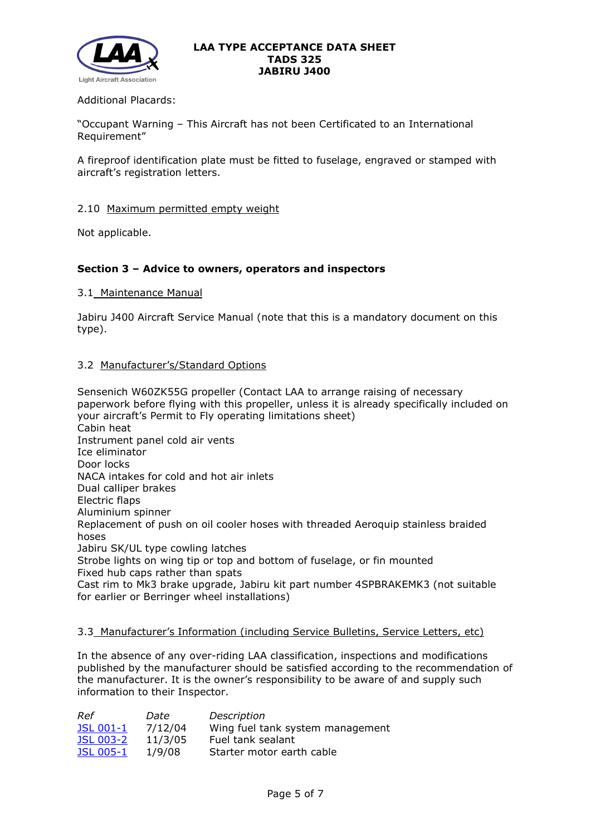

## Additional Placards:

"Occupant Warning – This Aircraft has not been Certificated to an International Requirement"

A fireproof identification plate must be fitted to fuselage, engraved or stamped with aircraft's registration letters.

### 2.10 Maximum permitted empty weight

Not applicable.

## **Section 3 – Advice to owners, operators and inspectors**

### 3.1 Maintenance Manual

Jabiru J400 Aircraft Service Manual (note that this is a mandatory document on this type).

## 3.2 Manufacturer's/Standard Options

Sensenich W60ZK55G propeller (Contact LAA to arrange raising of necessary paperwork before flying with this propeller, unless it is already specifically included on your aircraft's Permit to Fly operating limitations sheet) Cabin heat Instrument panel cold air vents Ice eliminator Door locks NACA intakes for cold and hot air inlets Dual calliper brakes Electric flaps Aluminium spinner Replacement of push on oil cooler hoses with threaded Aeroquip stainless braided hoses Jabiru SK/UL type cowling latches Strobe lights on wing tip or top and bottom of fuselage, or fin mounted Fixed hub caps rather than spats Cast rim to Mk3 brake upgrade, Jabiru kit part number 4SPBRAKEMK3 (not suitable for earlier or Berringer wheel installations)

## 3.3 Manufacturer's Information (including Service Bulletins, Service Letters, etc)

In the absence of any over-riding LAA classification, inspections and modifications published by the manufacturer should be satisfied according to the recommendation of the manufacturer. It is the owner's responsibility to be aware of and supply such information to their Inspector.

| Ref              | Date    | Description                      |
|------------------|---------|----------------------------------|
| <b>JSL 001-1</b> | 7/12/04 | Wing fuel tank system management |
| <b>JSL 003-2</b> | 11/3/05 | Fuel tank sealant                |
| <b>JSL 005-1</b> | 1/9/08  | Starter motor earth cable        |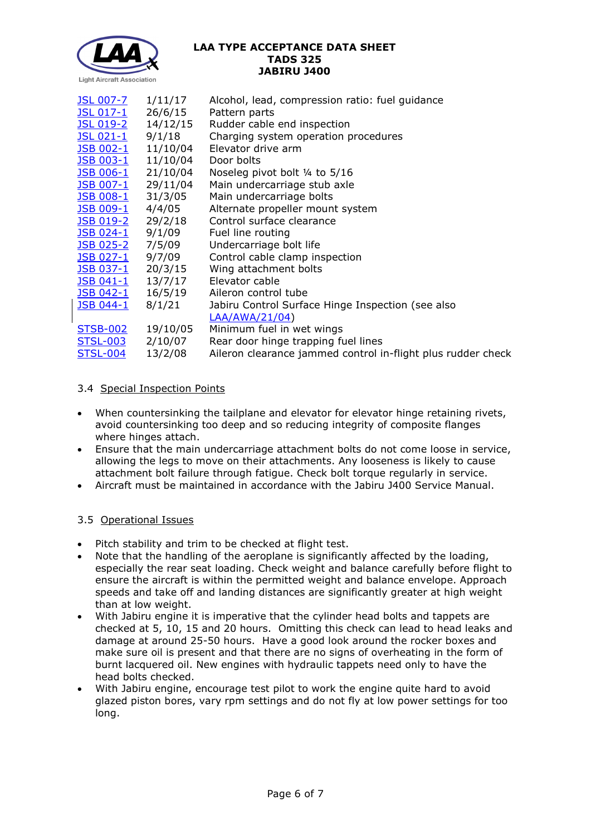

| <b>JSL 007-7</b>   | 1/11/17                  | Alcohol, lead, compression ratio: fuel guidance              |
|--------------------|--------------------------|--------------------------------------------------------------|
| <u>JSL 017-1</u>   | 26/6/15                  | Pattern parts                                                |
| <u>JSL 019-2</u>   | 14/12/15                 | Rudder cable end inspection                                  |
| JSL 021-1          | 9/1/18                   | Charging system operation procedures                         |
| JSB 002-1          | 11/10/04                 | Elevator drive arm                                           |
| JSB 003-1          | 11/10/04                 | Door bolts                                                   |
|                    | JSB 006-1 21/10/04       | Noseleg pivot bolt 1/4 to 5/16                               |
| JSB 007-1          | 29/11/04                 | Main undercarriage stub axle                                 |
| <b>JSB 008-1</b>   | 31/3/05                  | Main undercarriage bolts                                     |
|                    | <u>JSB 009-1</u> 4/4/05  | Alternate propeller mount system                             |
| <u> JSB 019-2</u>  | 29/2/18                  | Control surface clearance                                    |
| $JSB$ 024-1 9/1/09 |                          | Fuel line routing                                            |
|                    | <u>JSB 025-2</u> 7/5/09  | Undercarriage bolt life                                      |
| <b>JSB 027-1</b>   | 9/7/09                   | Control cable clamp inspection                               |
|                    | <u>JSB 037-1</u> 20/3/15 | Wing attachment bolts                                        |
|                    | <u>JSB 041-1</u> 13/7/17 | Elevator cable                                               |
|                    | <u>JSB 042-1</u> 16/5/19 | Aileron control tube                                         |
| <u>JSB 044-1</u>   | 8/1/21                   | Jabiru Control Surface Hinge Inspection (see also            |
|                    |                          | LAA/AWA/21/04)                                               |
| <b>STSB-002</b>    | 19/10/05                 | Minimum fuel in wet wings                                    |
| <b>STSL-003</b>    | 2/10/07                  | Rear door hinge trapping fuel lines                          |
| <b>STSL-004</b>    | 13/2/08                  | Aileron clearance jammed control in-flight plus rudder check |

# 3.4 Special Inspection Points

- When countersinking the tailplane and elevator for elevator hinge retaining rivets, avoid countersinking too deep and so reducing integrity of composite flanges where hinges attach.
- Ensure that the main undercarriage attachment bolts do not come loose in service, allowing the legs to move on their attachments. Any looseness is likely to cause attachment bolt failure through fatigue. Check bolt torque regularly in service.
- Aircraft must be maintained in accordance with the Jabiru J400 Service Manual.

# 3.5 Operational Issues

- Pitch stability and trim to be checked at flight test.
- Note that the handling of the aeroplane is significantly affected by the loading, especially the rear seat loading. Check weight and balance carefully before flight to ensure the aircraft is within the permitted weight and balance envelope. Approach speeds and take off and landing distances are significantly greater at high weight than at low weight.
- With Jabiru engine it is imperative that the cylinder head bolts and tappets are checked at 5, 10, 15 and 20 hours. Omitting this check can lead to head leaks and damage at around 25-50 hours. Have a good look around the rocker boxes and make sure oil is present and that there are no signs of overheating in the form of burnt lacquered oil. New engines with hydraulic tappets need only to have the head bolts checked.
- With Jabiru engine, encourage test pilot to work the engine quite hard to avoid glazed piston bores, vary rpm settings and do not fly at low power settings for too long.